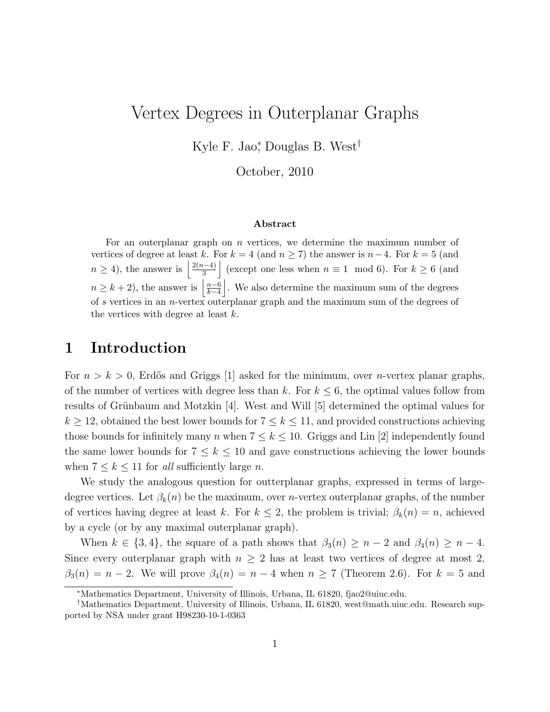# Vertex Degrees in Outerplanar Graphs

Kyle F. Jao<sup>∗</sup> , Douglas B. West†

October, 2010

#### Abstract

For an outerplanar graph on  $n$  vertices, we determine the maximum number of vertices of degree at least k. For  $k = 4$  (and  $n \ge 7$ ) the answer is  $n-4$ . For  $k = 5$  (and  $n \geq 4$ , the answer is  $\frac{2(n-4)}{3}$  $\left[\frac{n-4}{3}\right]$  (except one less when  $n \equiv 1 \mod 6$ ). For  $k \ge 6$  (and  $n \geq k+2$ , the answer is  $\frac{n-6}{k-4}$  $\left\lfloor \frac{n-6}{k-4} \right\rfloor$ . We also determine the maximum sum of the degrees of s vertices in an n-vertex outerplanar graph and the maximum sum of the degrees of the vertices with degree at least  $k$ .

#### 1 Introduction

For  $n > k > 0$ , Erdős and Griggs [1] asked for the minimum, over *n*-vertex planar graphs, of the number of vertices with degree less than k. For  $k \leq 6$ , the optimal values follow from results of Grünbaum and Motzkin [4]. West and Will [5] determined the optimal values for  $k \ge 12$ , obtained the best lower bounds for  $7 \le k \le 11$ , and provided constructions achieving those bounds for infinitely many n when  $7 \leq k \leq 10$ . Griggs and Lin [2] independently found the same lower bounds for  $7 \leq k \leq 10$  and gave constructions achieving the lower bounds when  $7 \leq k \leq 11$  for all sufficiently large n.

We study the analogous question for outterplanar graphs, expressed in terms of largedegree vertices. Let  $\beta_k(n)$  be the maximum, over *n*-vertex outerplanar graphs, of the number of vertices having degree at least k. For  $k \leq 2$ , the problem is trivial;  $\beta_k(n) = n$ , achieved by a cycle (or by any maximal outerplanar graph).

When  $k \in \{3, 4\}$ , the square of a path shows that  $\beta_3(n) \geq n-2$  and  $\beta_4(n) \geq n-4$ . Since every outerplanar graph with  $n \geq 2$  has at least two vertices of degree at most 2,  $\beta_3(n) = n-2$ . We will prove  $\beta_4(n) = n-4$  when  $n \geq 7$  (Theorem 2.6). For  $k = 5$  and

<sup>∗</sup>Mathematics Department, University of Illinois, Urbana, IL 61820, fjao2@uiuc.edu.

<sup>†</sup>Mathematics Department, University of Illinois, Urbana, IL 61820, west@math.uiuc.edu. Research supported by NSA under grant H98230-10-1-0363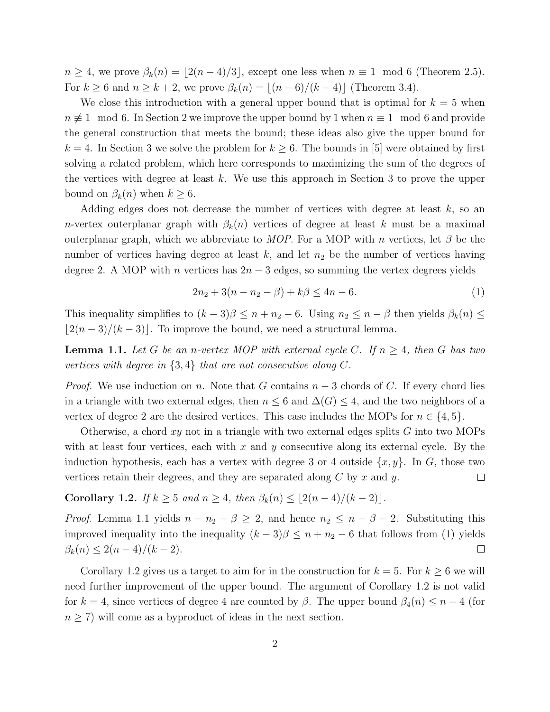$n \geq 4$ , we prove  $\beta_k(n) = \lfloor 2(n-4)/3 \rfloor$ , except one less when  $n \equiv 1 \mod 6$  (Theorem 2.5). For  $k \geq 6$  and  $n \geq k+2$ , we prove  $\beta_k(n) = \lfloor (n-6)/(k-4) \rfloor$  (Theorem 3.4).

We close this introduction with a general upper bound that is optimal for  $k = 5$  when  $n \not\equiv 1 \mod 6$ . In Section 2 we improve the upper bound by 1 when  $n \equiv 1 \mod 6$  and provide the general construction that meets the bound; these ideas also give the upper bound for  $k = 4$ . In Section 3 we solve the problem for  $k \geq 6$ . The bounds in [5] were obtained by first solving a related problem, which here corresponds to maximizing the sum of the degrees of the vertices with degree at least  $k$ . We use this approach in Section 3 to prove the upper bound on  $\beta_k(n)$  when  $k \geq 6$ .

Adding edges does not decrease the number of vertices with degree at least k, so an n-vertex outerplanar graph with  $\beta_k(n)$  vertices of degree at least k must be a maximal outerplanar graph, which we abbreviate to MOP. For a MOP with n vertices, let  $\beta$  be the number of vertices having degree at least  $k$ , and let  $n_2$  be the number of vertices having degree 2. A MOP with *n* vertices has  $2n-3$  edges, so summing the vertex degrees yields

$$
2n_2 + 3(n - n_2 - \beta) + k\beta \le 4n - 6. \tag{1}
$$

This inequality simplifies to  $(k-3)\beta \leq n+n_2-6$ . Using  $n_2 \leq n-\beta$  then yields  $\beta_k(n) \leq$  $\lfloor 2(n-3)/(k-3) \rfloor$ . To improve the bound, we need a structural lemma.

**Lemma 1.1.** Let G be an n-vertex MOP with external cycle C. If  $n \geq 4$ , then G has two vertices with degree in  $\{3,4\}$  that are not consecutive along C.

*Proof.* We use induction on n. Note that G contains  $n-3$  chords of C. If every chord lies in a triangle with two external edges, then  $n \leq 6$  and  $\Delta(G) \leq 4$ , and the two neighbors of a vertex of degree 2 are the desired vertices. This case includes the MOPs for  $n \in \{4, 5\}$ .

Otherwise, a chord  $xy$  not in a triangle with two external edges splits  $G$  into two MOPs with at least four vertices, each with x and y consecutive along its external cycle. By the induction hypothesis, each has a vertex with degree 3 or 4 outside  $\{x, y\}$ . In G, those two vertices retain their degrees, and they are separated along  $C$  by  $x$  and  $y$ .  $\Box$ 

Corollary 1.2. If  $k \geq 5$  and  $n \geq 4$ , then  $\beta_k(n) \leq \lfloor 2(n-4)/(k-2) \rfloor$ .

*Proof.* Lemma 1.1 yields  $n - n_2 - \beta \geq 2$ , and hence  $n_2 \leq n - \beta - 2$ . Substituting this improved inequality into the inequality  $(k-3)\beta \leq n+n_2-6$  that follows from (1) yields  $\beta_k(n) \leq 2(n-4)/(k-2).$  $\Box$ 

Corollary 1.2 gives us a target to aim for in the construction for  $k = 5$ . For  $k \ge 6$  we will need further improvement of the upper bound. The argument of Corollary 1.2 is not valid for  $k = 4$ , since vertices of degree 4 are counted by  $\beta$ . The upper bound  $\beta_4(n) \leq n-4$  (for  $n \geq 7$ ) will come as a byproduct of ideas in the next section.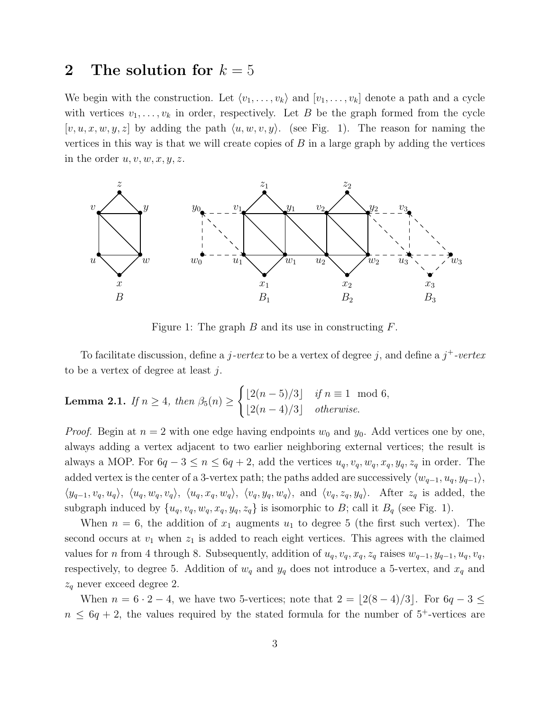#### 2 The solution for  $k = 5$

We begin with the construction. Let  $\langle v_1,\ldots, v_k \rangle$  and  $[v_1,\ldots, v_k]$  denote a path and a cycle with vertices  $v_1, \ldots, v_k$  in order, respectively. Let B be the graph formed from the cycle  $[v, u, x, w, y, z]$  by adding the path  $\langle u, w, v, y \rangle$ . (see Fig. 1). The reason for naming the vertices in this way is that we will create copies of  $B$  in a large graph by adding the vertices in the order  $u, v, w, x, y, z$ .



Figure 1: The graph  $B$  and its use in constructing  $F$ .

To facilitate discussion, define a  $j$ -vertex to be a vertex of degree j, and define a  $j^+$ -vertex to be a vertex of degree at least j.

**Lemma 2.1.** If 
$$
n \ge 4
$$
, then  $\beta_5(n) \ge \begin{cases} \lfloor 2(n-5)/3 \rfloor & \text{if } n \equiv 1 \mod 6, \\ \lfloor 2(n-4)/3 \rfloor & \text{otherwise.} \end{cases}$ 

*Proof.* Begin at  $n = 2$  with one edge having endpoints  $w_0$  and  $y_0$ . Add vertices one by one, always adding a vertex adjacent to two earlier neighboring external vertices; the result is always a MOP. For  $6q-3 \le n \le 6q+2$ , add the vertices  $u_q, v_q, w_q, x_q, y_q, z_q$  in order. The added vertex is the center of a 3-vertex path; the paths added are successively  $\langle w_{q-1}, u_q, y_{q-1} \rangle$ ,  $\langle y_{q-1},v_q,u_q\rangle, \langle u_q,w_q,v_q\rangle, \langle u_q,x_q,w_q\rangle, \langle v_q,y_q,w_q\rangle, \text{ and } \langle v_q,z_q,y_q\rangle.$  After  $z_q$  is added, the subgraph induced by  $\{u_q, v_q, w_q, x_q, y_q, z_q\}$  is isomorphic to B; call it  $B_q$  (see Fig. 1).

When  $n = 6$ , the addition of  $x_1$  augments  $u_1$  to degree 5 (the first such vertex). The second occurs at  $v_1$  when  $z_1$  is added to reach eight vertices. This agrees with the claimed values for n from 4 through 8. Subsequently, addition of  $u_q, v_q, x_q, z_q$  raises  $w_{q-1}, y_{q-1}, u_q, v_q$ , respectively, to degree 5. Addition of  $w_q$  and  $y_q$  does not introduce a 5-vertex, and  $x_q$  and  $z_q$  never exceed degree 2.

When  $n = 6 \cdot 2 - 4$ , we have two 5-vertices; note that  $2 = \lfloor 2(8-4)/3 \rfloor$ . For  $6q - 3 \le$  $n \leq 6q + 2$ , the values required by the stated formula for the number of 5<sup>+</sup>-vertices are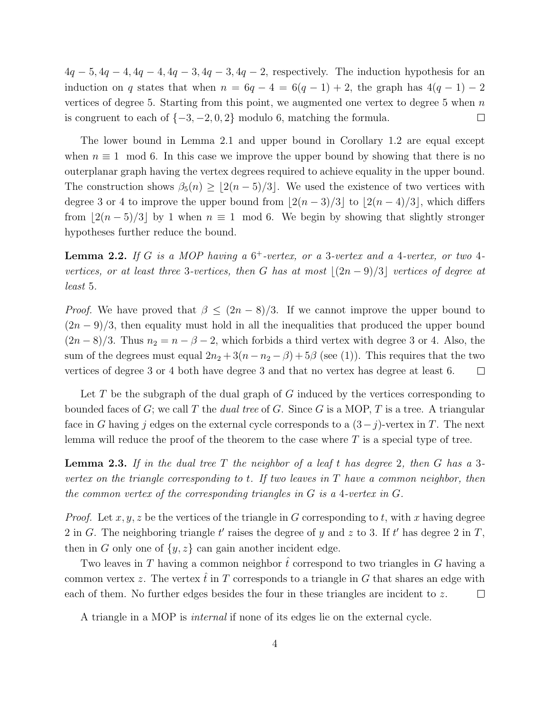$4q - 5$ ,  $4q - 4$ ,  $4q - 4$ ,  $4q - 3$ ,  $4q - 3$ ,  $4q - 2$ , respectively. The induction hypothesis for an induction on q states that when  $n = 6q - 4 = 6(q - 1) + 2$ , the graph has  $4(q - 1) - 2$ vertices of degree 5. Starting from this point, we augmented one vertex to degree 5 when  $n$ is congruent to each of  $\{-3, -2, 0, 2\}$  modulo 6, matching the formula.  $\Box$ 

The lower bound in Lemma 2.1 and upper bound in Corollary 1.2 are equal except when  $n \equiv 1 \mod 6$ . In this case we improve the upper bound by showing that there is no outerplanar graph having the vertex degrees required to achieve equality in the upper bound. The construction shows  $\beta_5(n) \geq \lfloor 2(n-5)/3 \rfloor$ . We used the existence of two vertices with degree 3 or 4 to improve the upper bound from  $\left| \frac{2(n-3)}{3} \right|$  to  $\left| \frac{2(n-4)}{3} \right|$ , which differs from  $|2(n-5)/3|$  by 1 when  $n \equiv 1 \mod 6$ . We begin by showing that slightly stronger hypotheses further reduce the bound.

**Lemma 2.2.** If G is a MOP having a  $6^+$ -vertex, or a 3-vertex and a 4-vertex, or two 4vertices, or at least three 3-vertices, then G has at most  $|(2n-9)/3|$  vertices of degree at least 5.

*Proof.* We have proved that  $\beta \leq (2n-8)/3$ . If we cannot improve the upper bound to  $(2n-9)/3$ , then equality must hold in all the inequalities that produced the upper bound  $(2n-8)/3$ . Thus  $n_2 = n - \beta - 2$ , which forbids a third vertex with degree 3 or 4. Also, the sum of the degrees must equal  $2n_2 + 3(n - n_2 - \beta) + 5\beta$  (see (1)). This requires that the two vertices of degree 3 or 4 both have degree 3 and that no vertex has degree at least 6.  $\Box$ 

Let T be the subgraph of the dual graph of G induced by the vertices corresponding to bounded faces of G; we call T the *dual tree* of G. Since G is a MOP, T is a tree. A triangular face in G having j edges on the external cycle corresponds to a  $(3-j)$ -vertex in T. The next lemma will reduce the proof of the theorem to the case where  $T$  is a special type of tree.

**Lemma 2.3.** If in the dual tree T the neighbor of a leaf t has degree 2, then G has a 3vertex on the triangle corresponding to t. If two leaves in  $T$  have a common neighbor, then the common vertex of the corresponding triangles in G is a 4-vertex in G.

*Proof.* Let  $x, y, z$  be the vertices of the triangle in G corresponding to t, with x having degree 2 in G. The neighboring triangle  $t'$  raises the degree of y and z to 3. If  $t'$  has degree 2 in T, then in G only one of  $\{y, z\}$  can gain another incident edge.

Two leaves in T having a common neighbor  $\hat{t}$  correspond to two triangles in G having a common vertex z. The vertex  $\hat{t}$  in T corresponds to a triangle in G that shares an edge with each of them. No further edges besides the four in these triangles are incident to  $z$ .  $\Box$ 

A triangle in a MOP is internal if none of its edges lie on the external cycle.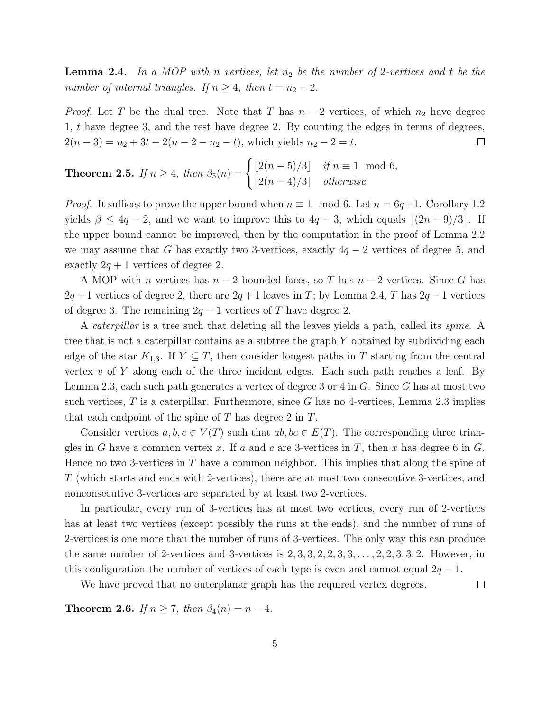**Lemma 2.4.** In a MOP with n vertices, let  $n_2$  be the number of 2-vertices and t be the number of internal triangles. If  $n \geq 4$ , then  $t = n_2 - 2$ .

*Proof.* Let T be the dual tree. Note that T has  $n-2$  vertices, of which  $n_2$  have degree 1, t have degree 3, and the rest have degree 2. By counting the edges in terms of degrees,  $2(n-3) = n_2 + 3t + 2(n-2-n_2-t)$ , which yields  $n_2 - 2 = t$ .  $\Box$ 

**Theorem 2.5.** If 
$$
n \ge 4
$$
, then  $\beta_5(n) = \begin{cases} \lfloor 2(n-5)/3 \rfloor & \text{if } n \equiv 1 \mod 6, \\ \lfloor 2(n-4)/3 \rfloor & \text{otherwise.} \end{cases}$ 

*Proof.* It suffices to prove the upper bound when  $n \equiv 1 \mod 6$ . Let  $n = 6q+1$ . Corollary 1.2 yields  $\beta \leq 4q - 2$ , and we want to improve this to  $4q - 3$ , which equals  $|(2n - 9)/3|$ . If the upper bound cannot be improved, then by the computation in the proof of Lemma 2.2 we may assume that G has exactly two 3-vertices, exactly  $4q - 2$  vertices of degree 5, and exactly  $2q + 1$  vertices of degree 2.

A MOP with n vertices has  $n-2$  bounded faces, so T has  $n-2$  vertices. Since G has  $2q + 1$  vertices of degree 2, there are  $2q + 1$  leaves in T; by Lemma 2.4, T has  $2q - 1$  vertices of degree 3. The remaining  $2q - 1$  vertices of T have degree 2.

A *caterpillar* is a tree such that deleting all the leaves yields a path, called its *spine*. A tree that is not a caterpillar contains as a subtree the graph Y obtained by subdividing each edge of the star  $K_{1,3}$ . If  $Y \subseteq T$ , then consider longest paths in T starting from the central vertex  $v$  of Y along each of the three incident edges. Each such path reaches a leaf. By Lemma 2.3, each such path generates a vertex of degree 3 or 4 in G. Since G has at most two such vertices,  $T$  is a caterpillar. Furthermore, since  $G$  has no 4-vertices, Lemma 2.3 implies that each endpoint of the spine of  $T$  has degree  $2$  in  $T$ .

Consider vertices  $a, b, c \in V(T)$  such that  $ab, bc \in E(T)$ . The corresponding three triangles in G have a common vertex x. If a and c are 3-vertices in T, then x has degree 6 in G. Hence no two 3-vertices in  $T$  have a common neighbor. This implies that along the spine of T (which starts and ends with 2-vertices), there are at most two consecutive 3-vertices, and nonconsecutive 3-vertices are separated by at least two 2-vertices.

In particular, every run of 3-vertices has at most two vertices, every run of 2-vertices has at least two vertices (except possibly the runs at the ends), and the number of runs of 2-vertices is one more than the number of runs of 3-vertices. The only way this can produce the same number of 2-vertices and 3-vertices is  $2, 3, 3, 2, 2, 3, 3, \ldots, 2, 2, 3, 3, 2$ . However, in this configuration the number of vertices of each type is even and cannot equal  $2q - 1$ .

We have proved that no outerplanar graph has the required vertex degrees.  $\Box$ 

**Theorem 2.6.** If  $n \geq 7$ , then  $\beta_4(n) = n - 4$ .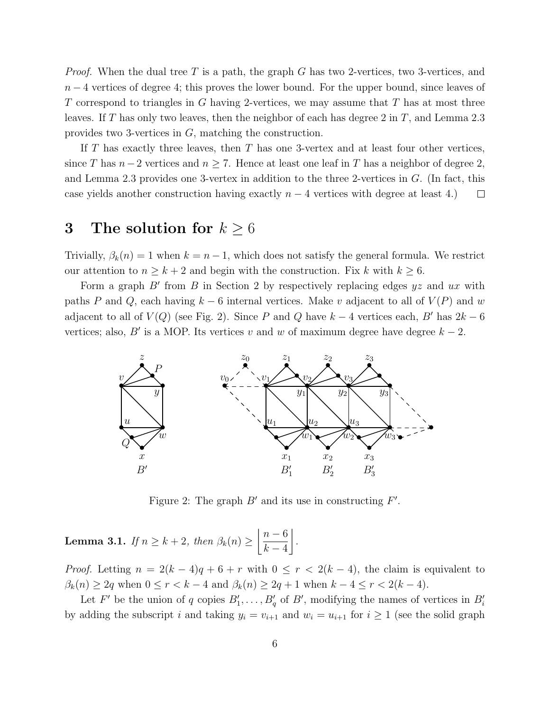*Proof.* When the dual tree T is a path, the graph G has two 2-vertices, two 3-vertices, and  $n-4$  vertices of degree 4; this proves the lower bound. For the upper bound, since leaves of T correspond to triangles in  $G$  having 2-vertices, we may assume that  $T$  has at most three leaves. If T has only two leaves, then the neighbor of each has degree 2 in T, and Lemma 2.3 provides two 3-vertices in G, matching the construction.

If T has exactly three leaves, then T has one 3-vertex and at least four other vertices, since T has  $n-2$  vertices and  $n \geq 7$ . Hence at least one leaf in T has a neighbor of degree 2, and Lemma 2.3 provides one 3-vertex in addition to the three 2-vertices in G. (In fact, this case yields another construction having exactly  $n-4$  vertices with degree at least 4.)  $\Box$ 

### 3 The solution for  $k \geq 6$

Trivially,  $\beta_k(n) = 1$  when  $k = n - 1$ , which does not satisfy the general formula. We restrict our attention to  $n \geq k+2$  and begin with the construction. Fix k with  $k \geq 6$ .

Form a graph  $B'$  from  $B$  in Section 2 by respectively replacing edges  $yz$  and  $ux$  with paths P and Q, each having  $k-6$  internal vertices. Make v adjacent to all of  $V(P)$  and w adjacent to all of  $V(Q)$  (see Fig. 2). Since P and Q have  $k-4$  vertices each, B' has  $2k-6$ vertices; also, B' is a MOP. Its vertices v and w of maximum degree have degree  $k - 2$ .



Figure 2: The graph  $B'$  and its use in constructing  $F'$ .

**Lemma 3.1.** If  $n \geq k+2$ , then  $\beta_k(n) \geq \left\lfloor \frac{n-6}{k-4} \right\rfloor$  $k-4$  $\overline{a}$ 

*Proof.* Letting  $n = 2(k-4)q + 6 + r$  with  $0 \leq r < 2(k-4)$ , the claim is equivalent to  $\beta_k(n) \geq 2q$  when  $0 \leq r < k - 4$  and  $\beta_k(n) \geq 2q + 1$  when  $k - 4 \leq r < 2(k - 4)$ .

.

Let F' be the union of q copies  $B'_1, \ldots, B'_q$  of B', modifying the names of vertices in  $B'_i$ by adding the subscript i and taking  $y_i = v_{i+1}$  and  $w_i = u_{i+1}$  for  $i \ge 1$  (see the solid graph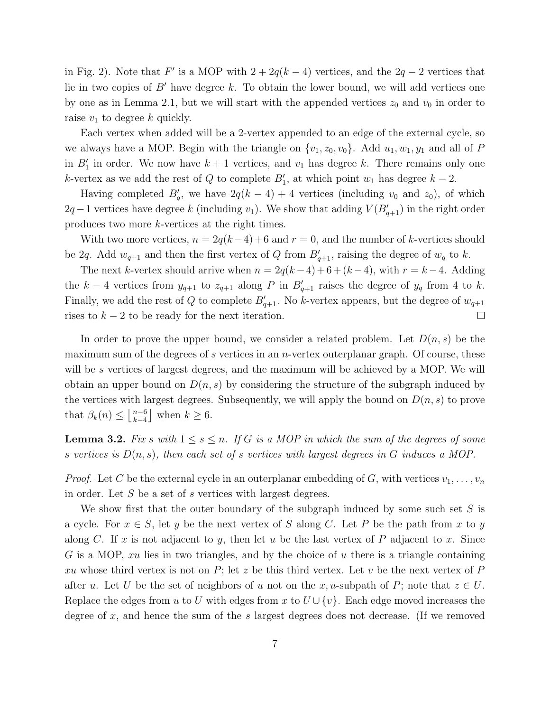in Fig. 2). Note that F' is a MOP with  $2 + 2q(k-4)$  vertices, and the  $2q - 2$  vertices that lie in two copies of  $B'$  have degree k. To obtain the lower bound, we will add vertices one by one as in Lemma 2.1, but we will start with the appended vertices  $z_0$  and  $v_0$  in order to raise  $v_1$  to degree k quickly.

Each vertex when added will be a 2-vertex appended to an edge of the external cycle, so we always have a MOP. Begin with the triangle on  $\{v_1, z_0, v_0\}$ . Add  $u_1, w_1, y_1$  and all of P in  $B'_1$  in order. We now have  $k+1$  vertices, and  $v_1$  has degree k. There remains only one k-vertex as we add the rest of Q to complete  $B'_1$ , at which point  $w_1$  has degree  $k-2$ .

Having completed  $B'_q$ , we have  $2q(k-4)+4$  vertices (including  $v_0$  and  $z_0$ ), of which  $2q-1$  vertices have degree k (including  $v_1$ ). We show that adding  $V(B'_{q+1})$  in the right order produces two more k-vertices at the right times.

With two more vertices,  $n = 2q(k-4)+6$  and  $r = 0$ , and the number of k-vertices should be 2q. Add  $w_{q+1}$  and then the first vertex of Q from  $B'_{q+1}$ , raising the degree of  $w_q$  to k.

The next k-vertex should arrive when  $n = 2q(k-4)+6+(k-4)$ , with  $r = k-4$ . Adding the k – 4 vertices from  $y_{q+1}$  to  $z_{q+1}$  along P in  $B'_{q+1}$  raises the degree of  $y_q$  from 4 to k. Finally, we add the rest of Q to complete  $B'_{q+1}$ . No k-vertex appears, but the degree of  $w_{q+1}$ rises to  $k - 2$  to be ready for the next iteration.  $\Box$ 

In order to prove the upper bound, we consider a related problem. Let  $D(n, s)$  be the maximum sum of the degrees of s vertices in an *n*-vertex outerplanar graph. Of course, these will be s vertices of largest degrees, and the maximum will be achieved by a MOP. We will obtain an upper bound on  $D(n, s)$  by considering the structure of the subgraph induced by the vertices with largest degrees. Subsequently, we will apply the bound on  $D(n, s)$  to prove that  $\beta_k(n) \leq \left\lfloor \frac{n-6}{k-4} \right\rfloor$  $\frac{n-6}{k-4}$  when  $k \geq 6$ .

**Lemma 3.2.** Fix s with  $1 \leq s \leq n$ . If G is a MOP in which the sum of the degrees of some s vertices is  $D(n, s)$ , then each set of s vertices with largest degrees in G induces a MOP.

*Proof.* Let C be the external cycle in an outerplanar embedding of G, with vertices  $v_1, \ldots, v_n$ in order. Let S be a set of s vertices with largest degrees.

We show first that the outer boundary of the subgraph induced by some such set S is a cycle. For  $x \in S$ , let y be the next vertex of S along C. Let P be the path from x to y along C. If x is not adjacent to y, then let u be the last vertex of P adjacent to x. Since G is a MOP,  $xu$  lies in two triangles, and by the choice of  $u$  there is a triangle containing xu whose third vertex is not on  $P$ ; let z be this third vertex. Let v be the next vertex of  $P$ after u. Let U be the set of neighbors of u not on the x, u-subpath of P; note that  $z \in U$ . Replace the edges from u to U with edges from x to  $U \cup \{v\}$ . Each edge moved increases the degree of x, and hence the sum of the s largest degrees does not decrease. (If we removed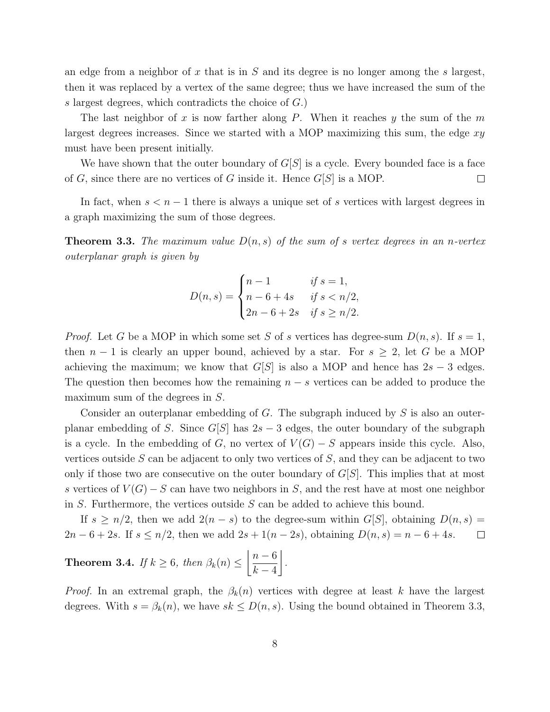an edge from a neighbor of x that is in  $S$  and its degree is no longer among the s largest, then it was replaced by a vertex of the same degree; thus we have increased the sum of the s largest degrees, which contradicts the choice of G.)

The last neighbor of x is now farther along P. When it reaches y the sum of the  $m$ largest degrees increases. Since we started with a MOP maximizing this sum, the edge  $xy$ must have been present initially.

We have shown that the outer boundary of  $G[S]$  is a cycle. Every bounded face is a face of G, since there are no vertices of G inside it. Hence  $G[S]$  is a MOP.  $\Box$ 

In fact, when  $s < n - 1$  there is always a unique set of s vertices with largest degrees in a graph maximizing the sum of those degrees.

**Theorem 3.3.** The maximum value  $D(n, s)$  of the sum of s vertex degrees in an n-vertex outerplanar graph is given by

$$
D(n,s) = \begin{cases} n-1 & \text{if } s = 1, \\ n-6+4s & \text{if } s < n/2, \\ 2n-6+2s & \text{if } s \ge n/2. \end{cases}
$$

*Proof.* Let G be a MOP in which some set S of s vertices has degree-sum  $D(n, s)$ . If  $s = 1$ , then  $n-1$  is clearly an upper bound, achieved by a star. For  $s \geq 2$ , let G be a MOP achieving the maximum; we know that  $G[S]$  is also a MOP and hence has  $2s - 3$  edges. The question then becomes how the remaining  $n - s$  vertices can be added to produce the maximum sum of the degrees in S.

Consider an outerplanar embedding of  $G$ . The subgraph induced by  $S$  is also an outerplanar embedding of S. Since  $G[S]$  has  $2s - 3$  edges, the outer boundary of the subgraph is a cycle. In the embedding of G, no vertex of  $V(G) - S$  appears inside this cycle. Also, vertices outside  $S$  can be adjacent to only two vertices of  $S$ , and they can be adjacent to two only if those two are consecutive on the outer boundary of  $G[S]$ . This implies that at most s vertices of  $V(G) - S$  can have two neighbors in S, and the rest have at most one neighbor in  $S$ . Furthermore, the vertices outside  $S$  can be added to achieve this bound.

If  $s \geq n/2$ , then we add  $2(n - s)$  to the degree-sum within  $G[S]$ , obtaining  $D(n, s) =$ 2n − 6 + 2s. If  $s \le n/2$ , then we add  $2s + 1(n - 2s)$ , obtaining  $D(n, s) = n - 6 + 4s$ .  $\Box$ 

**Theorem 3.4.** If 
$$
k \ge 6
$$
, then  $\beta_k(n) \le \left\lfloor \frac{n-6}{k-4} \right\rfloor$ .

*Proof.* In an extremal graph, the  $\beta_k(n)$  vertices with degree at least k have the largest degrees. With  $s = \beta_k(n)$ , we have  $sk \leq D(n, s)$ . Using the bound obtained in Theorem 3.3,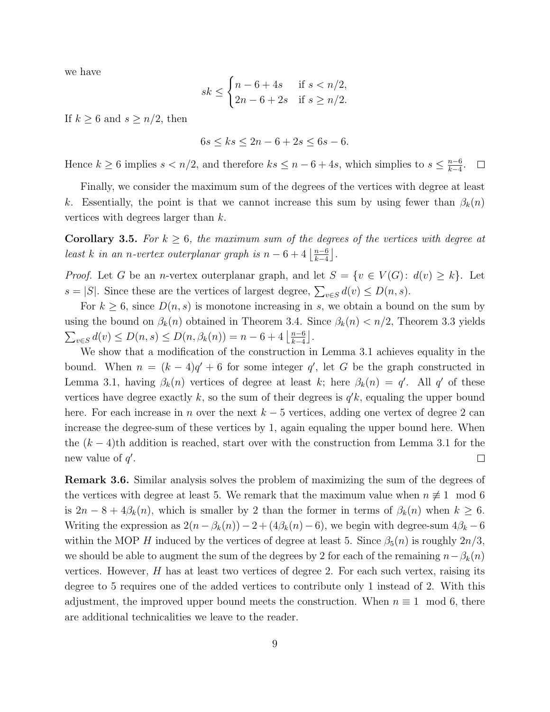we have

$$
sk \leq \begin{cases} n - 6 + 4s & \text{if } s < n/2, \\ 2n - 6 + 2s & \text{if } s \geq n/2. \end{cases}
$$

If  $k \geq 6$  and  $s \geq n/2$ , then

$$
6s \le ks \le 2n - 6 + 2s \le 6s - 6.
$$

Hence  $k \geq 6$  implies  $s < n/2$ , and therefore  $ks \leq n-6+4s$ , which simplies to  $s \leq \frac{n-6}{k-4}$  $\frac{n-6}{k-4}$ .  $\Box$ 

Finally, we consider the maximum sum of the degrees of the vertices with degree at least k. Essentially, the point is that we cannot increase this sum by using fewer than  $\beta_k(n)$ vertices with degrees larger than k.

**Corollary 3.5.** For  $k \geq 6$ , the maximum sum of the degrees of the vertices with degree at least k in an n-vertex outerplanar graph is  $n-6+4\left\lfloor\frac{n-6}{k-4}\right\rfloor$  $\frac{n-6}{k-4}$ .

*Proof.* Let G be an *n*-vertex outerplanar graph, and let  $S = \{v \in V(G): d(v) \geq k\}$ . Let  $s = |S|$ . Since these are the vertices of largest degree,  $\sum_{v \in S} d(v) \le D(n, s)$ .

For  $k \geq 6$ , since  $D(n, s)$  is monotone increasing in s, we obtain a bound on the sum by using the bound on  $\beta_k(n)$  obtained in Theorem 3.4. Since  $\beta_k(n) < n/2$ , Theorem 3.3 yields  $\sum_{v \in S} d(v) \le D(n, s) \le D(n, \beta_k(n)) = n - 6 + 4 \left\lfloor \frac{n-6}{k-4} \right\rfloor$  $\frac{n-6}{k-4}$ .

We show that a modification of the construction in Lemma 3.1 achieves equality in the bound. When  $n = (k-4)q' + 6$  for some integer q', let G be the graph constructed in Lemma 3.1, having  $\beta_k(n)$  vertices of degree at least k; here  $\beta_k(n) = q'$ . All q' of these vertices have degree exactly  $k$ , so the sum of their degrees is  $q'k$ , equaling the upper bound here. For each increase in n over the next  $k-5$  vertices, adding one vertex of degree 2 can increase the degree-sum of these vertices by 1, again equaling the upper bound here. When the  $(k-4)$ th addition is reached, start over with the construction from Lemma 3.1 for the new value of  $q'$ .  $\Box$ 

Remark 3.6. Similar analysis solves the problem of maximizing the sum of the degrees of the vertices with degree at least 5. We remark that the maximum value when  $n \neq 1 \mod 6$ is  $2n - 8 + 4\beta_k(n)$ , which is smaller by 2 than the former in terms of  $\beta_k(n)$  when  $k \geq 6$ . Writing the expression as  $2(n - \beta_k(n)) - 2 + (4\beta_k(n) - 6)$ , we begin with degree-sum  $4\beta_k - 6$ within the MOP H induced by the vertices of degree at least 5. Since  $\beta_5(n)$  is roughly  $2n/3$ , we should be able to augment the sum of the degrees by 2 for each of the remaining  $n-\beta_k(n)$ vertices. However,  $H$  has at least two vertices of degree 2. For each such vertex, raising its degree to 5 requires one of the added vertices to contribute only 1 instead of 2. With this adjustment, the improved upper bound meets the construction. When  $n \equiv 1 \mod 6$ , there are additional technicalities we leave to the reader.